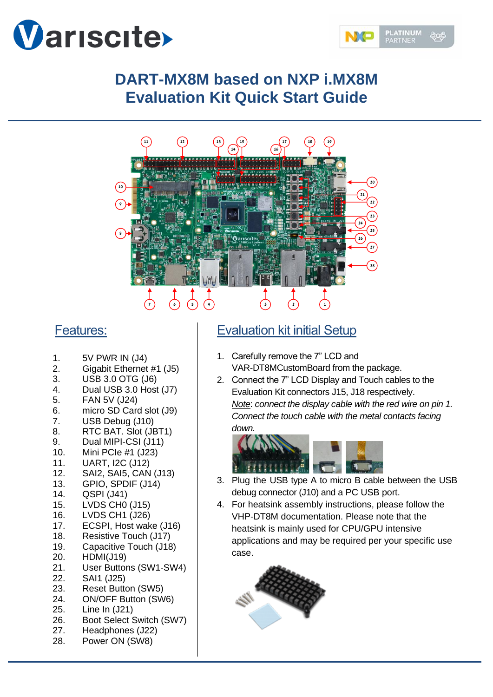



# **DART-MX8M based on NXP i.MX8M Evaluation Kit Quick Start Guide**



## Features:

- 1. 5V PWR IN (J4)
- 2. Gigabit Ethernet #1 (J5)
- 3. USB 3.0 OTG (J6)
- 4. Dual USB 3.0 Host (J7)
- 5. FAN 5V (J24)
- 6. micro SD Card slot (J9)
- 7. USB Debug (J10)
- 8. RTC BAT. Slot (JBT1)
- 9. Dual MIPI-CSI (J11)
- 10. Mini PCIe #1 (J23)
- 11. UART, I2C (J12)
- 12. SAI2, SAI5, CAN (J13)
- 13. GPIO, SPDIF (J14)
- 14. QSPI (J41)
- 15. LVDS CH0 (J15)
- 16. LVDS CH1 (J26)
- 17. ECSPI, Host wake (J16)
- 18. Resistive Touch (J17) 19. Capacitive Touch (J18)
- 20. HDMI(J19)
- 
- 21. User Buttons (SW1-SW4)
- 22. SAI1 (J25)
- 23. Reset Button (SW5)
- 24. ON/OFF Button (SW6)
- 25. Line In (J21)
- 26. Boot Select Switch (SW7)
- 27. Headphones (J22)
- 28. Power ON (SW8)

## Evaluation kit initial Setup

- 1. Carefully remove the 7" LCD and VAR-DT8MCustomBoard from the package.
- 2. Connect the 7" LCD Display and Touch cables to the Evaluation Kit connectors J15, J18 respectively. *Note*: *connect the display cable with the red wire on pin 1. Connect the touch cable with the metal contacts facing down.*



- 3. Plug the USB type A to micro B cable between the USB debug connector (J10) and a PC USB port.
- 4. For heatsink assembly instructions, please follow the VHP-DT8M documentation. Please note that the heatsink is mainly used for CPU/GPU intensive applications and may be required per your specific use case.